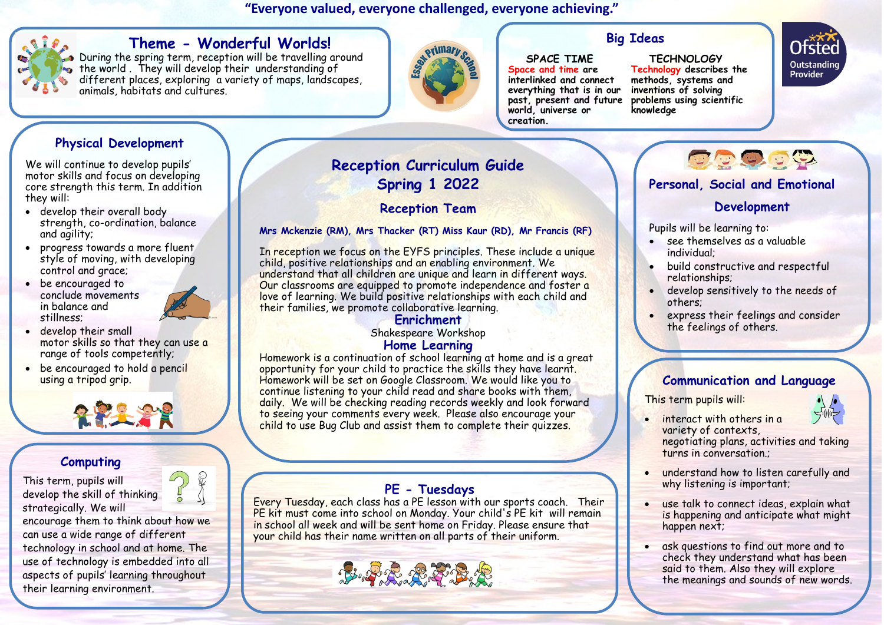#### **"Everyone valued, everyone challenged, everyone achieving."**



#### **Theme - Wonderful Worlds!**

During the spring term, reception will be travelling around the world . They will develop their understanding of different places, exploring a variety of maps, landscapes, animals, habitats and cultures.



## **Big Ideas**

#### **SPACE TIME Space and time are interlinked and connect everything that is in our past, present and future**

**world, universe or** 

**creation.**

 **TECHNOLOGY Technology describes the methods, systems and inventions of solving problems using scientific knowledge**



## **Physical Development**

We will continue to develop pupils' motor skills and focus on developing core strength this term. In addition they will:

- develop their overall body strength, co-ordination, balance and agility;
- progress towards a more fluent style of moving, with developing control and grace;
- be encouraged to conclude movements in balance and stillness;



- develop their small motor skills so that they can use a range of tools competently;
- be encouraged to hold a pencil using a tripod grip.



#### **Computing**

This term, pupils will develop the skill of thinking strategically. We will encourage them to think about how we

can use a wide range of different technology in school and at home. The use of technology is embedded into all aspects of pupils' learning throughout their learning environment.

## **Reception Curriculum Guide Spring 1 2022**

#### **Reception Team**

#### **Mrs Mckenzie (RM), Mrs Thacker (RT) Miss Kaur (RD), Mr Francis (RF)**

In reception we focus on the EYFS principles. These include a unique child, positive relationships and an enabling environment. We understand that all children are unique and learn in different ways. Our classrooms are equipped to promote independence and foster a love of learning. We build positive relationships with each child and their families, we promote collaborative learning.

# **Enrichment**

Shakespeare Workshop

#### **Home Learning**

Homework is a continuation of school learning at home and is a great opportunity for your child to practice the skills they have learnt. Homework will be set on Google Classroom. We would like you to continue listening to your child read and share books with them, daily. We will be checking reading records weekly and look forward to seeing your comments every week. Please also encourage your child to use Bug Club and assist them to complete their quizzes.

#### **PE - Tuesdays**

Every Tuesday, each class has a PE lesson with our sports coach. Their PE kit must come into school on Monday. Your child's PE kit will remain in school all week and will be sent home on Friday. Please ensure that your child has their name written on all parts of their uniform.



#### **Personal, Social and Emotional**

#### **Development**

**DO 9.39** 

Pupils will be learning to:

- see themselves as a valuable individual;
- build constructive and respectful relationships;
- develop sensitively to the needs of others;
- express their feelings and consider the feelings of others.

#### **Communication and Language**

This term pupils will:



 interact with others in a variety of contexts,

negotiating plans, activities and taking turns in conversation.;

- understand how to listen carefully and why listening is important;
- use talk to connect ideas, explain what is happening and anticipate what might happen next;
- ask questions to find out more and to check they understand what has been said to them. Also they will explore the meanings and sounds of new words.